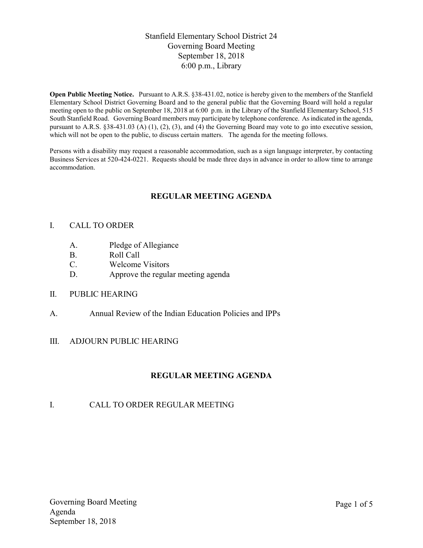## Stanfield Elementary School District 24 Governing Board Meeting September 18, 2018 6:00 p.m., Library

Open Public Meeting Notice. Pursuant to A.R.S. §38-431.02, notice is hereby given to the members of the Stanfield Elementary School District Governing Board and to the general public that the Governing Board will hold a regular meeting open to the public on September 18, 2018 at 6:00 p.m. in the Library of the Stanfield Elementary School, 515 South Stanfield Road. Governing Board members may participate by telephone conference. As indicated in the agenda, pursuant to A.R.S. §38-431.03 (A) (1), (2), (3), and (4) the Governing Board may vote to go into executive session, which will not be open to the public, to discuss certain matters. The agenda for the meeting follows.

Persons with a disability may request a reasonable accommodation, such as a sign language interpreter, by contacting Business Services at 520-424-0221. Requests should be made three days in advance in order to allow time to arrange accommodation.

## REGULAR MEETING AGENDA

#### I. CALL TO ORDER

- A. Pledge of Allegiance
- B. Roll Call
- C. Welcome Visitors
- D. Approve the regular meeting agenda
- II. PUBLIC HEARING
- A. Annual Review of the Indian Education Policies and IPPs
- III. ADJOURN PUBLIC HEARING

## REGULAR MEETING AGENDA

## I. CALL TO ORDER REGULAR MEETING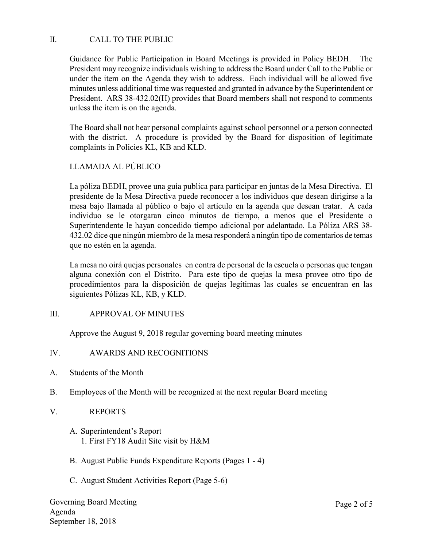## II. CALL TO THE PUBLIC

Guidance for Public Participation in Board Meetings is provided in Policy BEDH. The President may recognize individuals wishing to address the Board under Call to the Public or under the item on the Agenda they wish to address. Each individual will be allowed five minutes unless additional time was requested and granted in advance by the Superintendent or President. ARS 38-432.02(H) provides that Board members shall not respond to comments unless the item is on the agenda.

The Board shall not hear personal complaints against school personnel or a person connected with the district. A procedure is provided by the Board for disposition of legitimate complaints in Policies KL, KB and KLD.

# LLAMADA AL PÚBLICO

La póliza BEDH, provee una guía publica para participar en juntas de la Mesa Directiva. El presidente de la Mesa Directiva puede reconocer a los individuos que desean dirigirse a la mesa bajo llamada al público o bajo el artículo en la agenda que desean tratar. A cada individuo se le otorgaran cinco minutos de tiempo, a menos que el Presidente o Superintendente le hayan concedido tiempo adicional por adelantado. La Póliza ARS 38- 432.02 dice que ningún miembro de la mesa responderá a ningún tipo de comentarios de temas que no estén en la agenda.

La mesa no oirá quejas personales en contra de personal de la escuela o personas que tengan alguna conexión con el Distrito. Para este tipo de quejas la mesa provee otro tipo de procedimientos para la disposición de quejas legítimas las cuales se encuentran en las siguientes Pólizas KL, KB, y KLD.

#### III. APPROVAL OF MINUTES

Approve the August 9, 2018 regular governing board meeting minutes

#### IV. AWARDS AND RECOGNITIONS

- A. Students of the Month
- B. Employees of the Month will be recognized at the next regular Board meeting
- V. REPORTS
	- A. Superintendent's Report 1. First FY18 Audit Site visit by H&M
	- B. August Public Funds Expenditure Reports (Pages 1 4)
	- C. August Student Activities Report (Page 5-6)

Governing Board Meeting Agenda September 18, 2018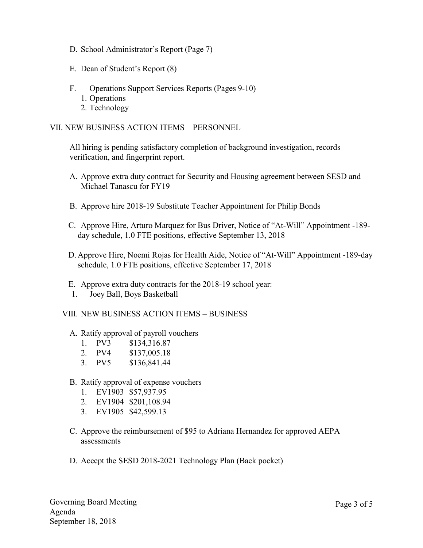- D. School Administrator's Report (Page 7)
- E. Dean of Student's Report (8)
- F. Operations Support Services Reports (Pages 9-10)
	- 1. Operations
	- 2. Technology

#### VII. NEW BUSINESS ACTION ITEMS – PERSONNEL

All hiring is pending satisfactory completion of background investigation, records verification, and fingerprint report.

- A. Approve extra duty contract for Security and Housing agreement between SESD and Michael Tanascu for FY19
- B. Approve hire 2018-19 Substitute Teacher Appointment for Philip Bonds
- C. Approve Hire, Arturo Marquez for Bus Driver, Notice of "At-Will" Appointment -189 day schedule, 1.0 FTE positions, effective September 13, 2018
- D. Approve Hire, Noemi Rojas for Health Aide, Notice of "At-Will" Appointment -189-day schedule, 1.0 FTE positions, effective September 17, 2018
- E. Approve extra duty contracts for the 2018-19 school year:
- 1. Joey Ball, Boys Basketball

#### VIII. NEW BUSINESS ACTION ITEMS – BUSINESS

- A. Ratify approval of payroll vouchers
	- 1. PV3 \$134,316.87
	- 2. PV4 \$137,005.18
	- 3. PV5 \$136,841.44
- B. Ratify approval of expense vouchers
	- 1. EV1903 \$57,937.95
	- 2. EV1904 \$201,108.94
	- 3. EV1905 \$42,599.13
- C. Approve the reimbursement of \$95 to Adriana Hernandez for approved AEPA assessments
- D. Accept the SESD 2018-2021 Technology Plan (Back pocket)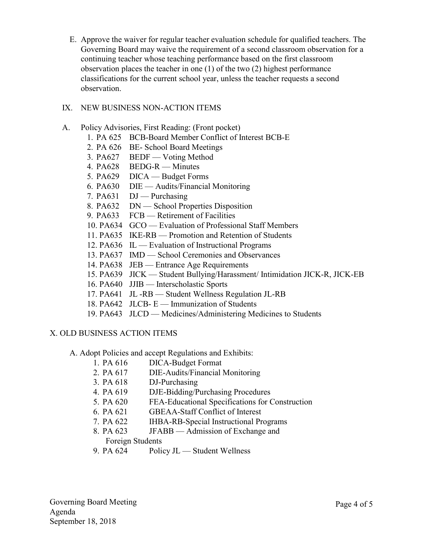E. Approve the waiver for regular teacher evaluation schedule for qualified teachers. The Governing Board may waive the requirement of a second classroom observation for a continuing teacher whose teaching performance based on the first classroom observation places the teacher in one (1) of the two (2) highest performance classifications for the current school year, unless the teacher requests a second observation.

### IX. NEW BUSINESS NON-ACTION ITEMS

- A. Policy Advisories, First Reading: (Front pocket)
	- 1. PA 625 BCB-Board Member Conflict of Interest BCB-E
	- 2. PA 626 BE- School Board Meetings
	- 3. PA627 BEDF Voting Method
	- 4. PA628 BEDG-R Minutes
	- 5. PA629 DICA Budget Forms
	- 6. PA630 DIE Audits/Financial Monitoring
	- 7. PA631 DJ Purchasing
	- 8. PA632 DN School Properties Disposition
	- 9. PA633 FCB Retirement of Facilities
	- 10. PA634 GCO Evaluation of Professional Staff Members
	- 11. PA635 IKE-RB Promotion and Retention of Students
	- 12. PA636 IL Evaluation of Instructional Programs
	- 13. PA637 IMD School Ceremonies and Observances
	- 14. PA638 JEB Entrance Age Requirements
	- 15. PA639 JICK Student Bullying/Harassment/ Intimidation JICK-R, JICK-EB
	- 16. PA640 JJIB Interscholastic Sports
	- 17. PA641 JL -RB Student Wellness Regulation JL-RB
	- 18. PA642 JLCB- E Immunization of Students
	- 19. PA643 JLCD Medicines/Administering Medicines to Students

#### X. OLD BUSINESS ACTION ITEMS

- A. Adopt Policies and accept Regulations and Exhibits:
	- 1. PA 616 DICA-Budget Format
	- 2. PA 617 DIE-Audits/Financial Monitoring
	- 3. PA 618 DJ-Purchasing
	- 4. PA 619 DJE-Bidding/Purchasing Procedures
	- 5. PA 620 FEA-Educational Specifications for Construction
	- 6. PA 621 GBEAA-Staff Conflict of Interest
	- 7. PA 622 IHBA-RB-Special Instructional Programs
	- 8. PA 623 JFABB Admission of Exchange and
		- Foreign Students
	- 9. PA 624 Policy JL Student Wellness